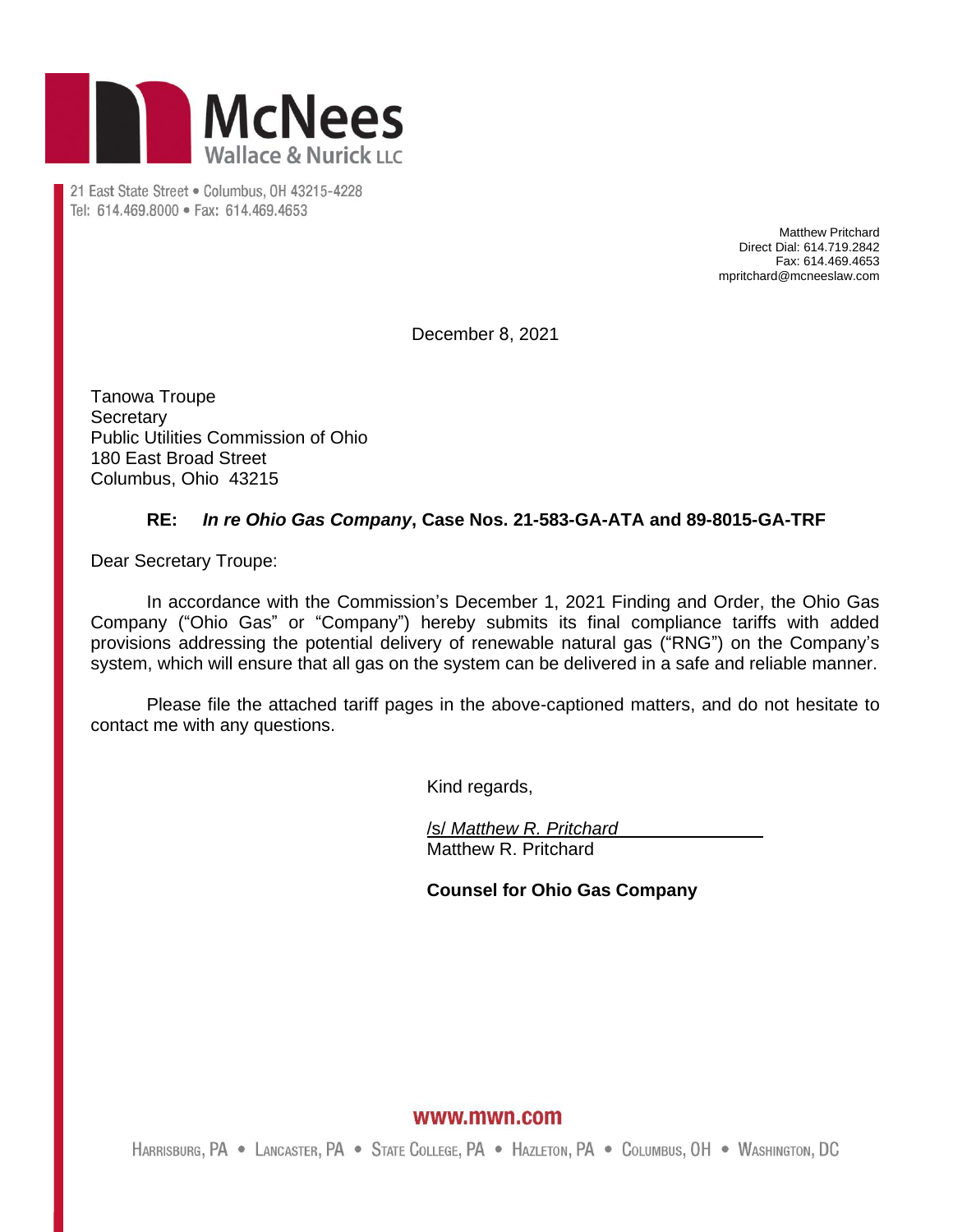

21 East State Street . Columbus, OH 43215-4228 Tel: 614.469.8000 · Fax: 614.469.4653

> Matthew Pritchard Direct Dial: 614.719.2842 Fax: 614.469.4653 mpritchard@mcneeslaw.com

December 8, 2021

Tanowa Troupe **Secretary** Public Utilities Commission of Ohio 180 East Broad Street Columbus, Ohio 43215

#### **RE:** *In re Ohio Gas Company***, Case Nos. 21-583-GA-ATA and 89-8015-GA-TRF**

Dear Secretary Troupe:

In accordance with the Commission's December 1, 2021 Finding and Order, the Ohio Gas Company ("Ohio Gas" or "Company") hereby submits its final compliance tariffs with added provisions addressing the potential delivery of renewable natural gas ("RNG") on the Company's system, which will ensure that all gas on the system can be delivered in a safe and reliable manner.

Please file the attached tariff pages in the above-captioned matters, and do not hesitate to contact me with any questions.

Kind regards,

/s/ *Matthew R. Pritchard* Matthew R. Pritchard

**Counsel for Ohio Gas Company**

www.mwn.com

HARRISBURG, PA . LANCASTER, PA . STATE COLLEGE, PA . HAZLETON, PA . COLUMBUS, OH . WASHINGTON, DC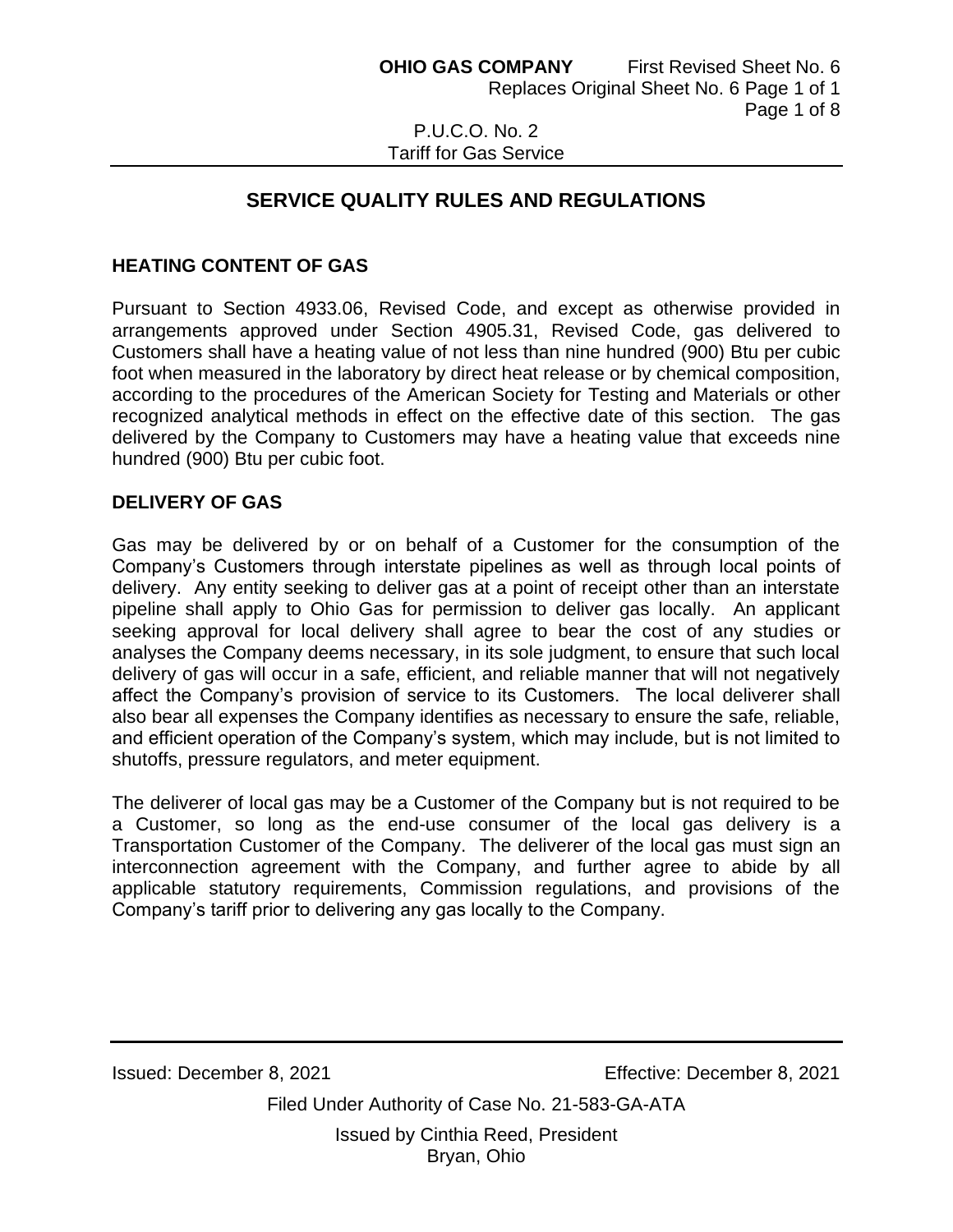# Tariff for Gas Service

# **SERVICE QUALITY RULES AND REGULATIONS**

## **HEATING CONTENT OF GAS**

Pursuant to Section 4933.06, Revised Code, and except as otherwise provided in arrangements approved under Section 4905.31, Revised Code, gas delivered to Customers shall have a heating value of not less than nine hundred (900) Btu per cubic foot when measured in the laboratory by direct heat release or by chemical composition, according to the procedures of the American Society for Testing and Materials or other recognized analytical methods in effect on the effective date of this section. The gas delivered by the Company to Customers may have a heating value that exceeds nine hundred (900) Btu per cubic foot.

#### **DELIVERY OF GAS**

Gas may be delivered by or on behalf of a Customer for the consumption of the Company's Customers through interstate pipelines as well as through local points of delivery. Any entity seeking to deliver gas at a point of receipt other than an interstate pipeline shall apply to Ohio Gas for permission to deliver gas locally. An applicant seeking approval for local delivery shall agree to bear the cost of any studies or analyses the Company deems necessary, in its sole judgment, to ensure that such local delivery of gas will occur in a safe, efficient, and reliable manner that will not negatively affect the Company's provision of service to its Customers. The local deliverer shall also bear all expenses the Company identifies as necessary to ensure the safe, reliable, and efficient operation of the Company's system, which may include, but is not limited to shutoffs, pressure regulators, and meter equipment.

The deliverer of local gas may be a Customer of the Company but is not required to be a Customer, so long as the end-use consumer of the local gas delivery is a Transportation Customer of the Company. The deliverer of the local gas must sign an interconnection agreement with the Company, and further agree to abide by all applicable statutory requirements, Commission regulations, and provisions of the Company's tariff prior to delivering any gas locally to the Company.

Issued: December 8, 2021 Effective: December 8, 2021

Filed Under Authority of Case No. 21-583-GA-ATA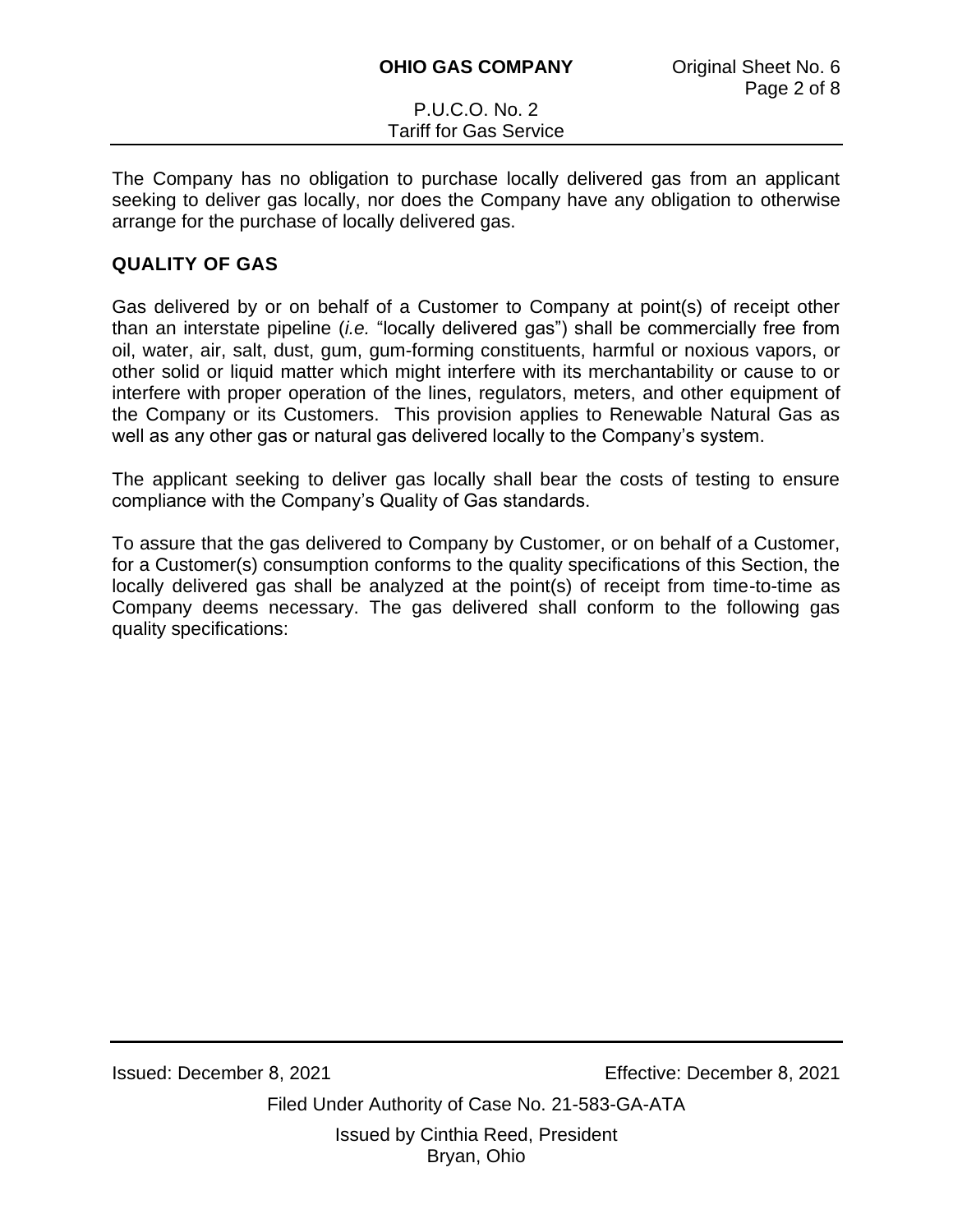The Company has no obligation to purchase locally delivered gas from an applicant seeking to deliver gas locally, nor does the Company have any obligation to otherwise arrange for the purchase of locally delivered gas.

## **QUALITY OF GAS**

Gas delivered by or on behalf of a Customer to Company at point(s) of receipt other than an interstate pipeline (*i.e.* "locally delivered gas") shall be commercially free from oil, water, air, salt, dust, gum, gum-forming constituents, harmful or noxious vapors, or other solid or liquid matter which might interfere with its merchantability or cause to or interfere with proper operation of the lines, regulators, meters, and other equipment of the Company or its Customers. This provision applies to Renewable Natural Gas as well as any other gas or natural gas delivered locally to the Company's system.

The applicant seeking to deliver gas locally shall bear the costs of testing to ensure compliance with the Company's Quality of Gas standards.

To assure that the gas delivered to Company by Customer, or on behalf of a Customer, for a Customer(s) consumption conforms to the quality specifications of this Section, the locally delivered gas shall be analyzed at the point(s) of receipt from time-to-time as Company deems necessary. The gas delivered shall conform to the following gas quality specifications:

Issued: December 8, 2021 Effective: December 8, 2021

Filed Under Authority of Case No. 21-583-GA-ATA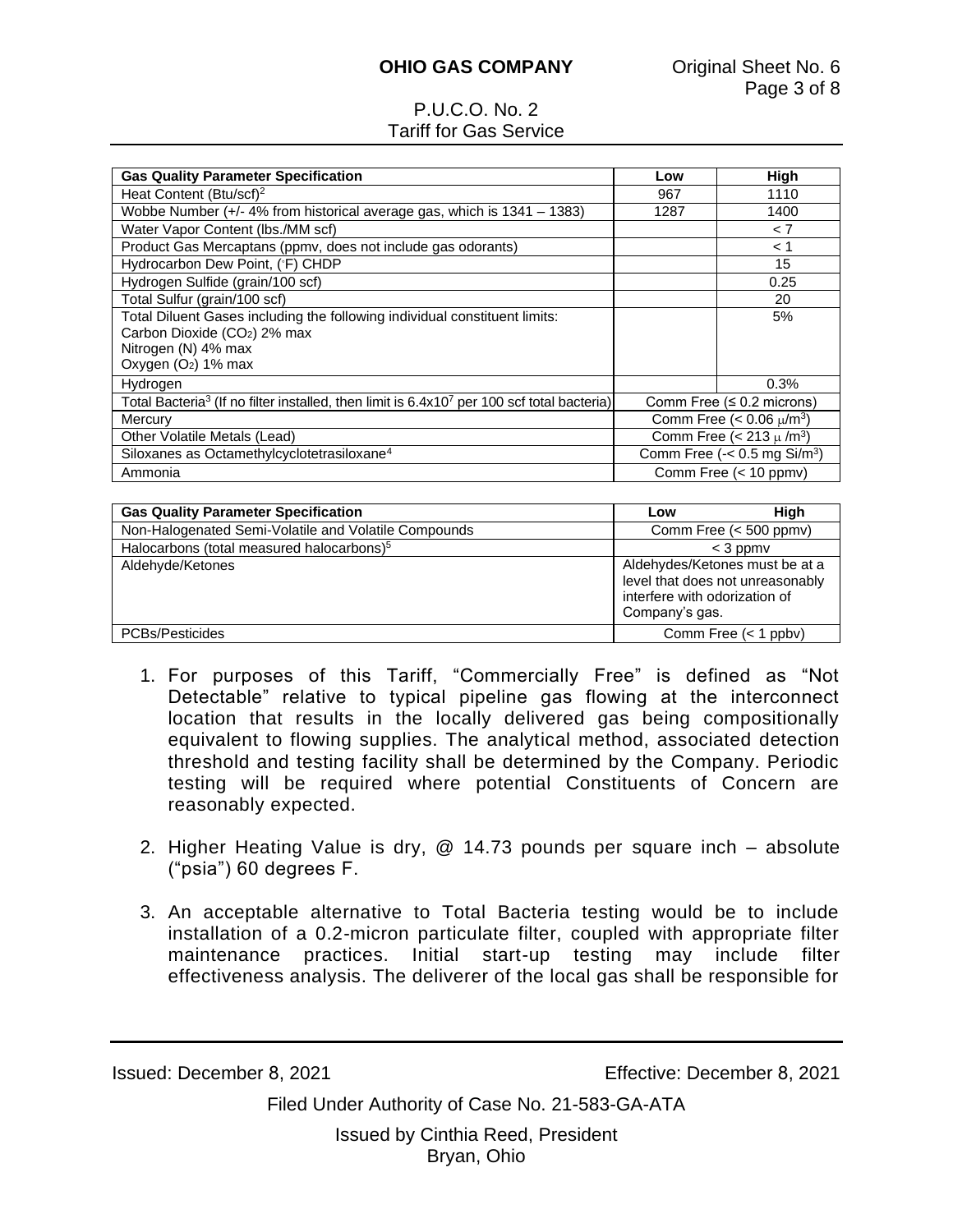## **OHIO GAS COMPANY Original Sheet No. 6**

## P.U.C.O. No. 2 Tariff for Gas Service

| <b>Gas Quality Parameter Specification</b>                                                                         | Low                                             | High |
|--------------------------------------------------------------------------------------------------------------------|-------------------------------------------------|------|
| Heat Content (Btu/scf) <sup>2</sup>                                                                                | 967                                             | 1110 |
| Wobbe Number (+/- 4% from historical average gas, which is 1341 - 1383)                                            | 1287                                            | 1400 |
| Water Vapor Content (Ibs./MM scf)                                                                                  |                                                 | < 7  |
| Product Gas Mercaptans (ppmv, does not include gas odorants)                                                       |                                                 | < 1  |
| Hydrocarbon Dew Point, (°F) CHDP                                                                                   |                                                 | 15   |
| Hydrogen Sulfide (grain/100 scf)                                                                                   |                                                 | 0.25 |
| Total Sulfur (grain/100 scf)                                                                                       |                                                 | 20   |
| Total Diluent Gases including the following individual constituent limits:                                         |                                                 | 5%   |
| Carbon Dioxide (CO2) 2% max                                                                                        |                                                 |      |
| Nitrogen (N) 4% max                                                                                                |                                                 |      |
| Oxygen (O <sub>2</sub> ) 1% max                                                                                    |                                                 |      |
| Hydrogen                                                                                                           |                                                 | 0.3% |
| Total Bacteria <sup>3</sup> (If no filter installed, then limit is 6.4x10 <sup>7</sup> per 100 scf total bacteria) | Comm Free $(≤ 0.2$ microns)                     |      |
| Mercury                                                                                                            | Comm Free (< $0.06 \mu/m^3$ )                   |      |
| Other Volatile Metals (Lead)                                                                                       | Comm Free (< 213 $\mu$ /m <sup>3</sup> )        |      |
| Siloxanes as Octamethylcyclotetrasiloxane <sup>4</sup>                                                             | Comm Free $\left(-2.5 \text{ mg Si/m}^3\right)$ |      |
| Ammonia                                                                                                            | Comm Free (< 10 ppmv)                           |      |

| <b>Gas Quality Parameter Specification</b>            | Low                                                                                                                   | High                   |  |
|-------------------------------------------------------|-----------------------------------------------------------------------------------------------------------------------|------------------------|--|
| Non-Halogenated Semi-Volatile and Volatile Compounds  |                                                                                                                       | Comm Free (< 500 ppmv) |  |
| Halocarbons (total measured halocarbons) <sup>5</sup> |                                                                                                                       | $<$ 3 ppm $v$          |  |
| Aldehyde/Ketones                                      | Aldehydes/Ketones must be at a<br>level that does not unreasonably<br>interfere with odorization of<br>Company's gas. |                        |  |
| <b>PCBs/Pesticides</b>                                |                                                                                                                       | Comm Free $(< 1$ ppbv) |  |

- 1. For purposes of this Tariff, "Commercially Free" is defined as "Not Detectable" relative to typical pipeline gas flowing at the interconnect location that results in the locally delivered gas being compositionally equivalent to flowing supplies. The analytical method, associated detection threshold and testing facility shall be determined by the Company. Periodic testing will be required where potential Constituents of Concern are reasonably expected.
- 2. Higher Heating Value is dry, @ 14.73 pounds per square inch absolute ("psia") 60 degrees F.
- 3. An acceptable alternative to Total Bacteria testing would be to include installation of a 0.2-micron particulate filter, coupled with appropriate filter maintenance practices. Initial start-up testing may include filter effectiveness analysis. The deliverer of the local gas shall be responsible for

Issued: December 8, 2021 Effective: December 8, 2021

Filed Under Authority of Case No. 21-583-GA-ATA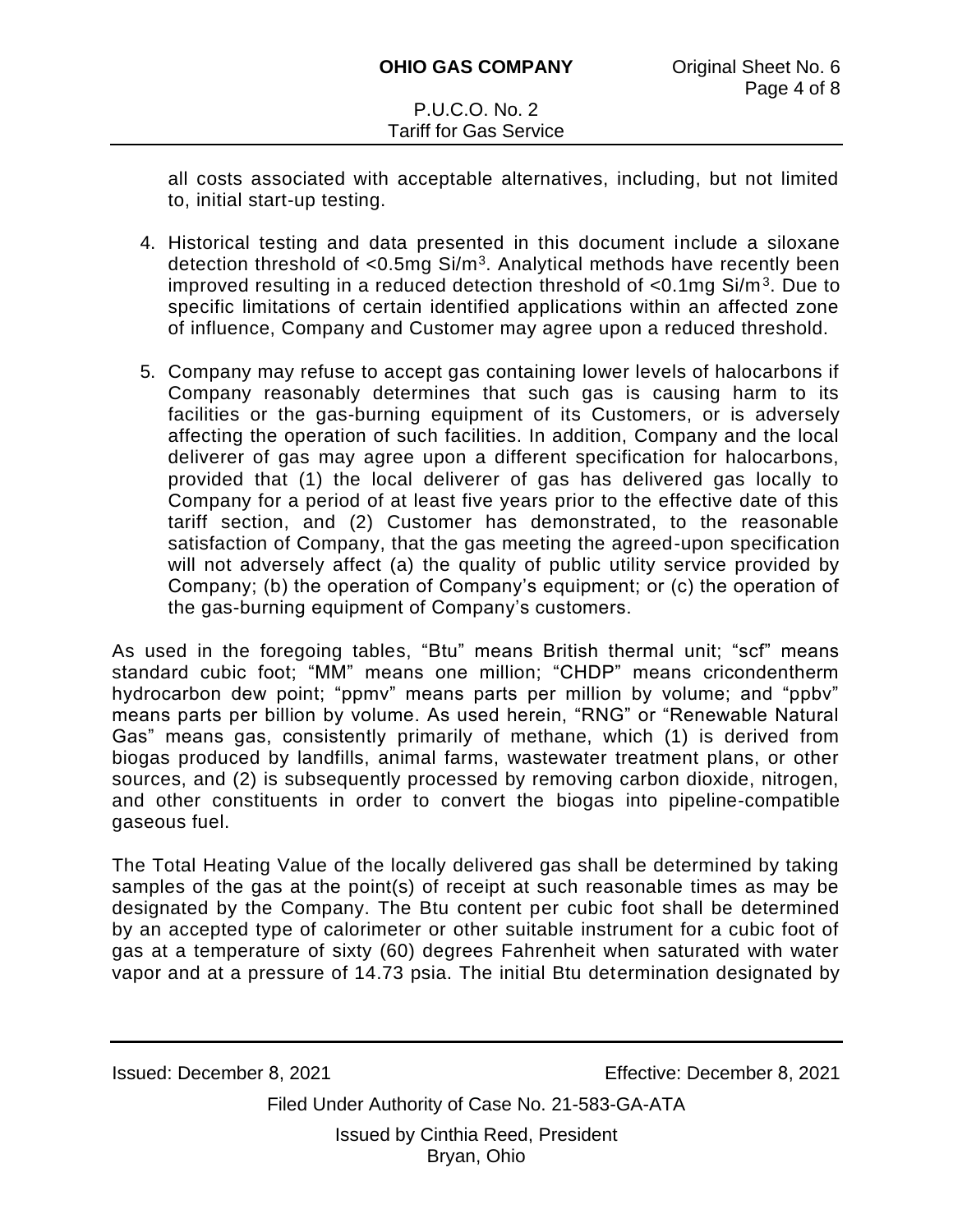all costs associated with acceptable alternatives, including, but not limited to, initial start-up testing.

- 4. Historical testing and data presented in this document include a siloxane detection threshold of <0.5mg  $Si/m<sup>3</sup>$ . Analytical methods have recently been improved resulting in a reduced detection threshold of  $<$ 0.1mg Si/m<sup>3</sup>. Due to specific limitations of certain identified applications within an affected zone of influence, Company and Customer may agree upon a reduced threshold.
- 5. Company may refuse to accept gas containing lower levels of halocarbons if Company reasonably determines that such gas is causing harm to its facilities or the gas-burning equipment of its Customers, or is adversely affecting the operation of such facilities. In addition, Company and the local deliverer of gas may agree upon a different specification for halocarbons, provided that (1) the local deliverer of gas has delivered gas locally to Company for a period of at least five years prior to the effective date of this tariff section, and (2) Customer has demonstrated, to the reasonable satisfaction of Company, that the gas meeting the agreed-upon specification will not adversely affect (a) the quality of public utility service provided by Company; (b) the operation of Company's equipment; or (c) the operation of the gas-burning equipment of Company's customers.

As used in the foregoing tables, "Btu" means British thermal unit; "scf" means standard cubic foot; "MM" means one million; "CHDP" means cricondentherm hydrocarbon dew point; "ppmv" means parts per million by volume; and "ppbv" means parts per billion by volume. As used herein, "RNG" or "Renewable Natural Gas" means gas, consistently primarily of methane, which (1) is derived from biogas produced by landfills, animal farms, wastewater treatment plans, or other sources, and (2) is subsequently processed by removing carbon dioxide, nitrogen, and other constituents in order to convert the biogas into pipeline-compatible gaseous fuel.

The Total Heating Value of the locally delivered gas shall be determined by taking samples of the gas at the point(s) of receipt at such reasonable times as may be designated by the Company. The Btu content per cubic foot shall be determined by an accepted type of calorimeter or other suitable instrument for a cubic foot of gas at a temperature of sixty (60) degrees Fahrenheit when saturated with water vapor and at a pressure of 14.73 psia. The initial Btu determination designated by

Issued: December 8, 2021 Effective: December 8, 2021

Filed Under Authority of Case No. 21-583-GA-ATA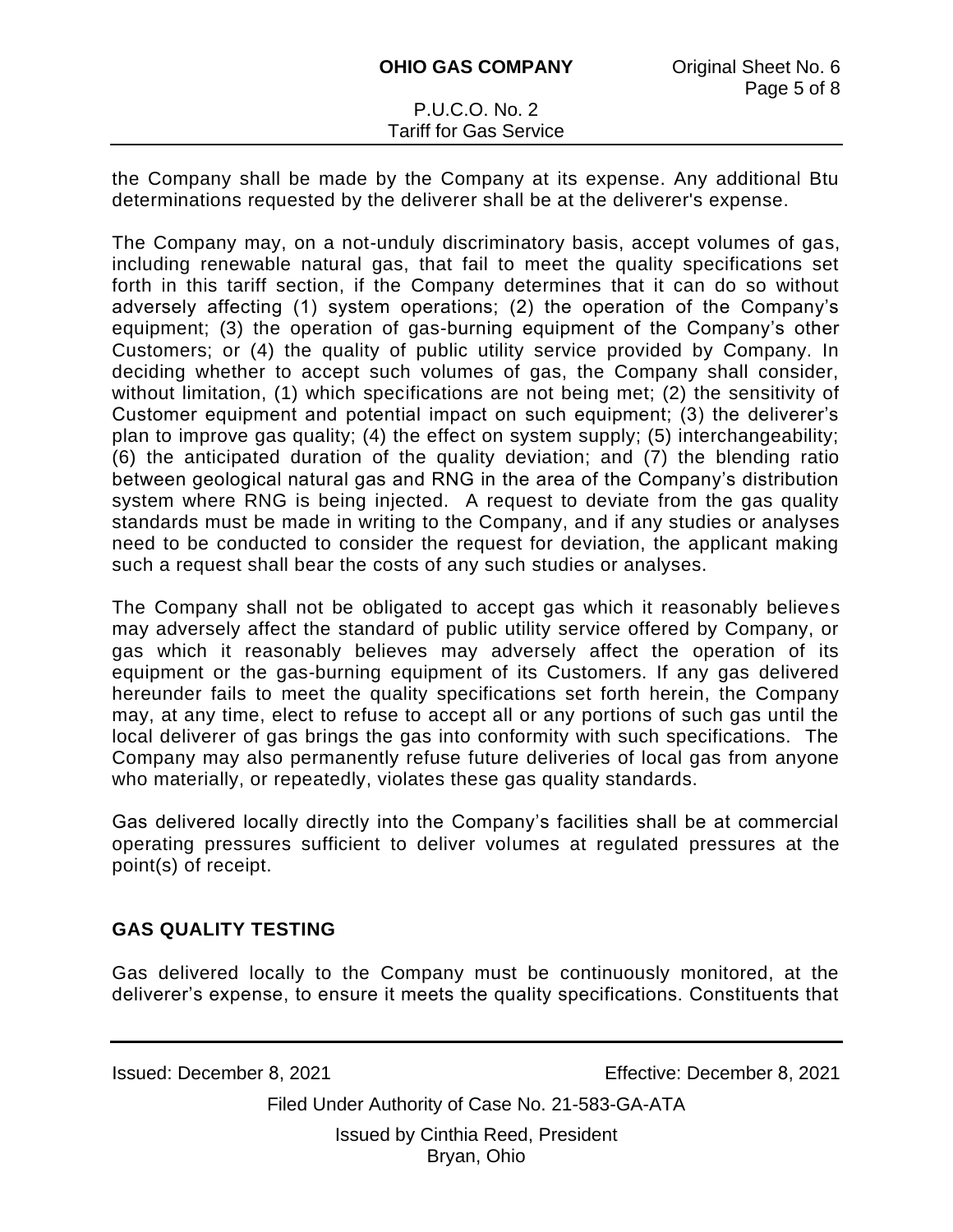the Company shall be made by the Company at its expense. Any additional Btu determinations requested by the deliverer shall be at the deliverer's expense.

The Company may, on a not-unduly discriminatory basis, accept volumes of gas, including renewable natural gas, that fail to meet the quality specifications set forth in this tariff section, if the Company determines that it can do so without adversely affecting (1) system operations; (2) the operation of the Company's equipment; (3) the operation of gas-burning equipment of the Company's other Customers; or (4) the quality of public utility service provided by Company. In deciding whether to accept such volumes of gas, the Company shall consider, without limitation, (1) which specifications are not being met; (2) the sensitivity of Customer equipment and potential impact on such equipment; (3) the deliverer's plan to improve gas quality; (4) the effect on system supply; (5) interchangeability; (6) the anticipated duration of the quality deviation; and (7) the blending ratio between geological natural gas and RNG in the area of the Company's distribution system where RNG is being injected. A request to deviate from the gas quality standards must be made in writing to the Company, and if any studies or analyses need to be conducted to consider the request for deviation, the applicant making such a request shall bear the costs of any such studies or analyses.

The Company shall not be obligated to accept gas which it reasonably believes may adversely affect the standard of public utility service offered by Company, or gas which it reasonably believes may adversely affect the operation of its equipment or the gas-burning equipment of its Customers. If any gas delivered hereunder fails to meet the quality specifications set forth herein, the Company may, at any time, elect to refuse to accept all or any portions of such gas until the local deliverer of gas brings the gas into conformity with such specifications. The Company may also permanently refuse future deliveries of local gas from anyone who materially, or repeatedly, violates these gas quality standards.

Gas delivered locally directly into the Company's facilities shall be at commercial operating pressures sufficient to deliver volumes at regulated pressures at the point(s) of receipt.

## **GAS QUALITY TESTING**

Gas delivered locally to the Company must be continuously monitored, at the deliverer's expense, to ensure it meets the quality specifications. Constituents that

Issued: December 8, 2021 Effective: December 8, 2021

Filed Under Authority of Case No. 21-583-GA-ATA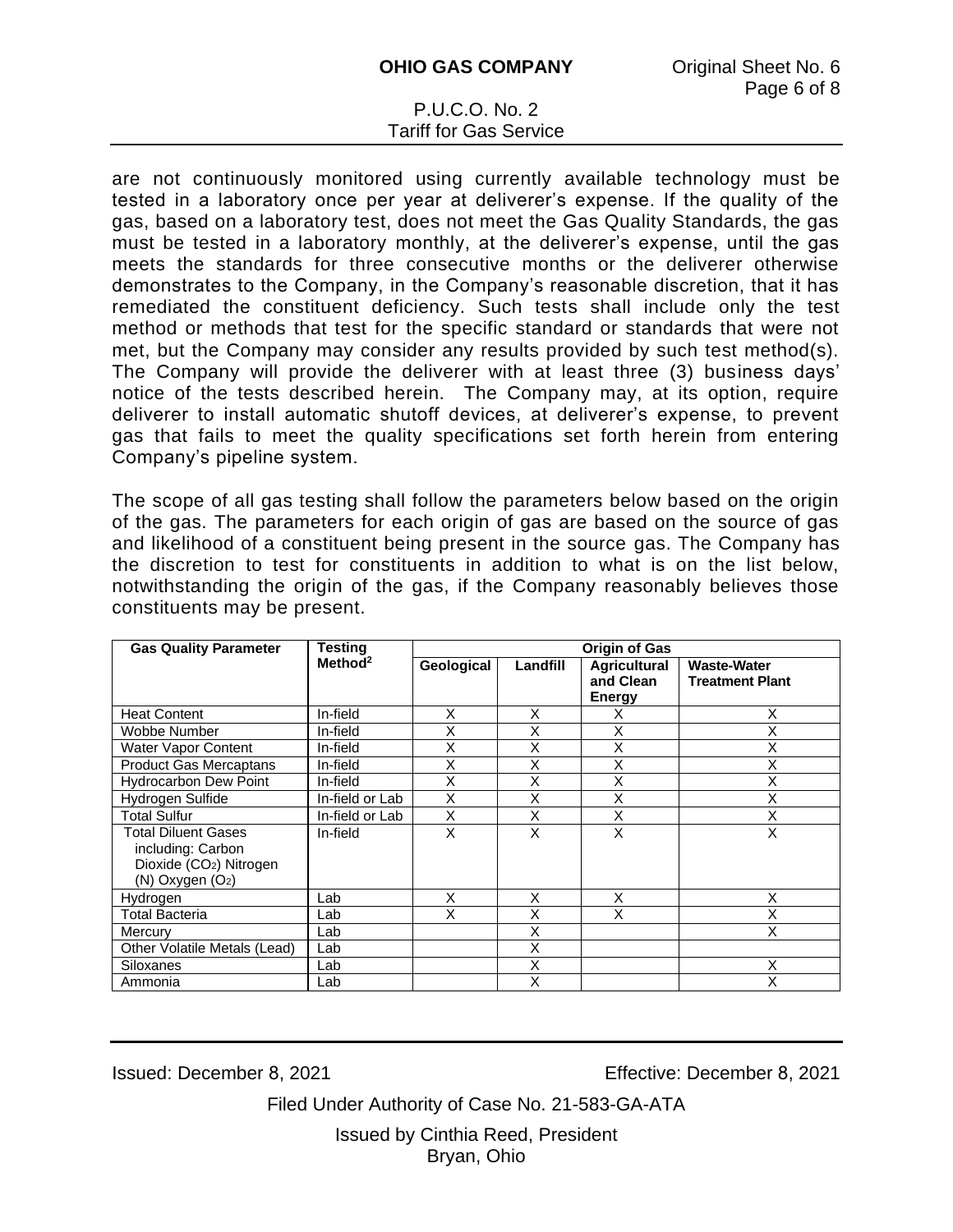are not continuously monitored using currently available technology must be tested in a laboratory once per year at deliverer's expense. If the quality of the gas, based on a laboratory test, does not meet the Gas Quality Standards, the gas must be tested in a laboratory monthly, at the deliverer's expense, until the gas meets the standards for three consecutive months or the deliverer otherwise demonstrates to the Company, in the Company's reasonable discretion, that it has remediated the constituent deficiency. Such tests shall include only the test method or methods that test for the specific standard or standards that were not met, but the Company may consider any results provided by such test method(s). The Company will provide the deliverer with at least three (3) business days' notice of the tests described herein. The Company may, at its option, require deliverer to install automatic shutoff devices, at deliverer's expense, to prevent gas that fails to meet the quality specifications set forth herein from entering Company's pipeline system.

The scope of all gas testing shall follow the parameters below based on the origin of the gas. The parameters for each origin of gas are based on the source of gas and likelihood of a constituent being present in the source gas. The Company has the discretion to test for constituents in addition to what is on the list below, notwithstanding the origin of the gas, if the Company reasonably believes those constituents may be present.

| <b>Gas Quality Parameter</b>                                                                           | <b>Testing</b>      | <b>Origin of Gas</b> |          |                                                   |                                              |
|--------------------------------------------------------------------------------------------------------|---------------------|----------------------|----------|---------------------------------------------------|----------------------------------------------|
|                                                                                                        | Method <sup>2</sup> | Geological           | Landfill | <b>Agricultural</b><br>and Clean<br><b>Energy</b> | <b>Waste-Water</b><br><b>Treatment Plant</b> |
| <b>Heat Content</b>                                                                                    | In-field            | X                    | X        | х                                                 | X                                            |
| Wobbe Number                                                                                           | In-field            | X                    | X        | X                                                 | X                                            |
| Water Vapor Content                                                                                    | In-field            | Χ                    | X        | X                                                 | Χ                                            |
| <b>Product Gas Mercaptans</b>                                                                          | In-field            | X                    | X        | X                                                 | Χ                                            |
| <b>Hydrocarbon Dew Point</b>                                                                           | In-field            | Χ                    | X        | X                                                 | X                                            |
| Hydrogen Sulfide                                                                                       | In-field or Lab     | X                    | X        | X                                                 | X                                            |
| Total Sulfur                                                                                           | In-field or Lab     | X                    | X        | X                                                 | X                                            |
| Total Diluent Gases<br>including: Carbon<br>Dioxide (CO <sub>2</sub> ) Nitrogen<br>$(N)$ Oxygen $(O2)$ | In-field            | X                    | X        | X                                                 | X                                            |
| Hydrogen                                                                                               | Lab                 | X                    | X        | X                                                 | X                                            |
| Total Bacteria                                                                                         | Lab                 | X                    | X        | X                                                 | Χ                                            |
| Mercury                                                                                                | Lab                 |                      | X        |                                                   | X                                            |
| Other Volatile Metals (Lead)                                                                           | Lab                 |                      | X        |                                                   |                                              |
| Siloxanes                                                                                              | Lab                 |                      | X        |                                                   | X                                            |
| Ammonia                                                                                                | Lab                 |                      | X        |                                                   | X                                            |

Issued: December 8, 2021 Effective: December 8, 2021

Filed Under Authority of Case No. 21-583-GA-ATA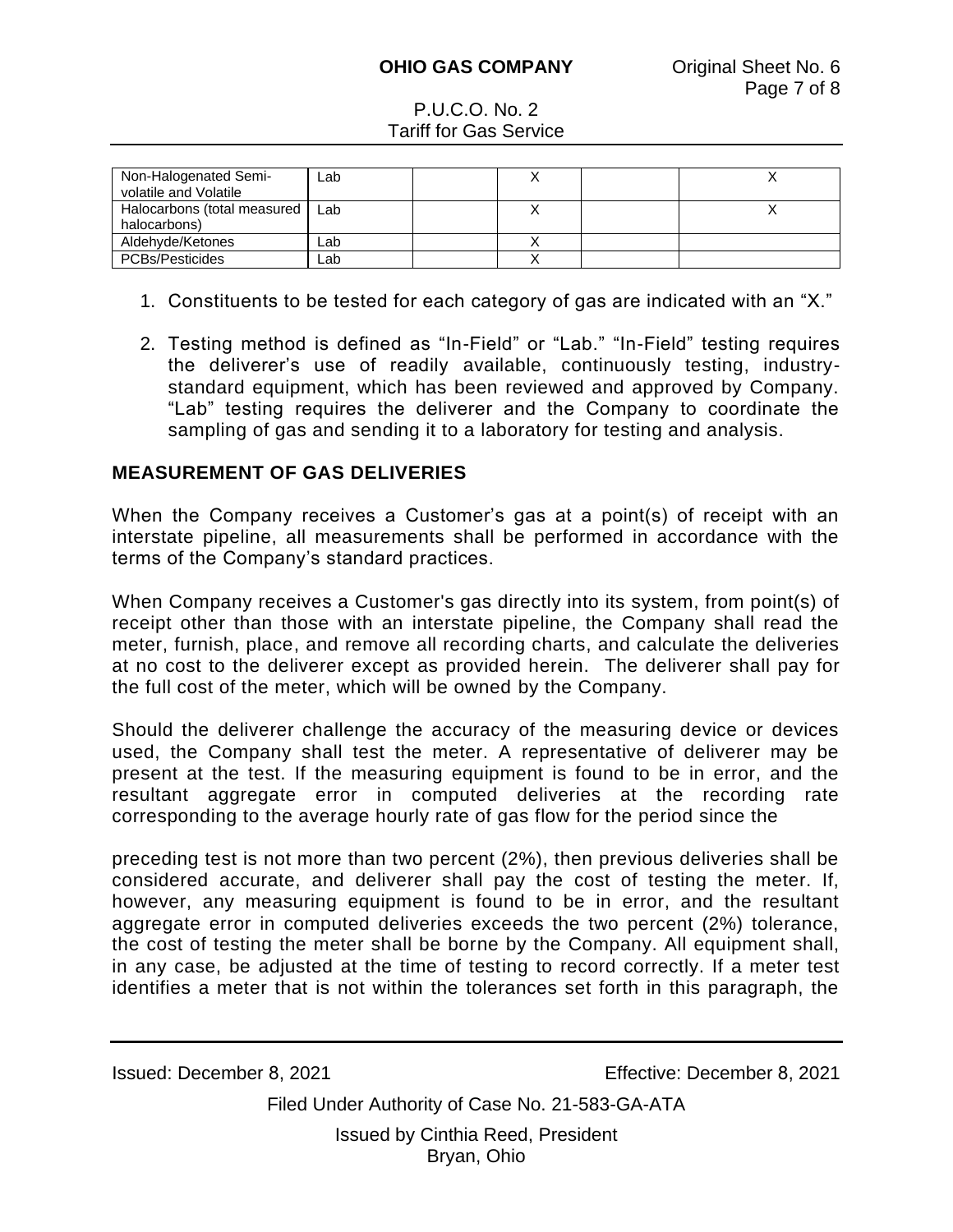| Non-Halogenated Semi-<br>volatile and Volatile | Lab |  |  |
|------------------------------------------------|-----|--|--|
| Halocarbons (total measured<br>halocarbons)    | Lab |  |  |
| Aldehyde/Ketones                               | Lab |  |  |
| PCBs/Pesticides                                | Lab |  |  |

- 1. Constituents to be tested for each category of gas are indicated with an "X."
- 2. Testing method is defined as "In-Field" or "Lab." "In-Field" testing requires the deliverer's use of readily available, continuously testing, industrystandard equipment, which has been reviewed and approved by Company. "Lab" testing requires the deliverer and the Company to coordinate the sampling of gas and sending it to a laboratory for testing and analysis.

## **MEASUREMENT OF GAS DELIVERIES**

When the Company receives a Customer's gas at a point(s) of receipt with an interstate pipeline, all measurements shall be performed in accordance with the terms of the Company's standard practices.

When Company receives a Customer's gas directly into its system, from point(s) of receipt other than those with an interstate pipeline, the Company shall read the meter, furnish, place, and remove all recording charts, and calculate the deliveries at no cost to the deliverer except as provided herein. The deliverer shall pay for the full cost of the meter, which will be owned by the Company.

Should the deliverer challenge the accuracy of the measuring device or devices used, the Company shall test the meter. A representative of deliverer may be present at the test. If the measuring equipment is found to be in error, and the resultant aggregate error in computed deliveries at the recording rate corresponding to the average hourly rate of gas flow for the period since the

preceding test is not more than two percent (2%), then previous deliveries shall be considered accurate, and deliverer shall pay the cost of testing the meter. If, however, any measuring equipment is found to be in error, and the resultant aggregate error in computed deliveries exceeds the two percent (2%) tolerance, the cost of testing the meter shall be borne by the Company. All equipment shall, in any case, be adjusted at the time of testing to record correctly. If a meter test identifies a meter that is not within the tolerances set forth in this paragraph, the

Issued: December 8, 2021 Effective: December 8, 2021

Filed Under Authority of Case No. 21-583-GA-ATA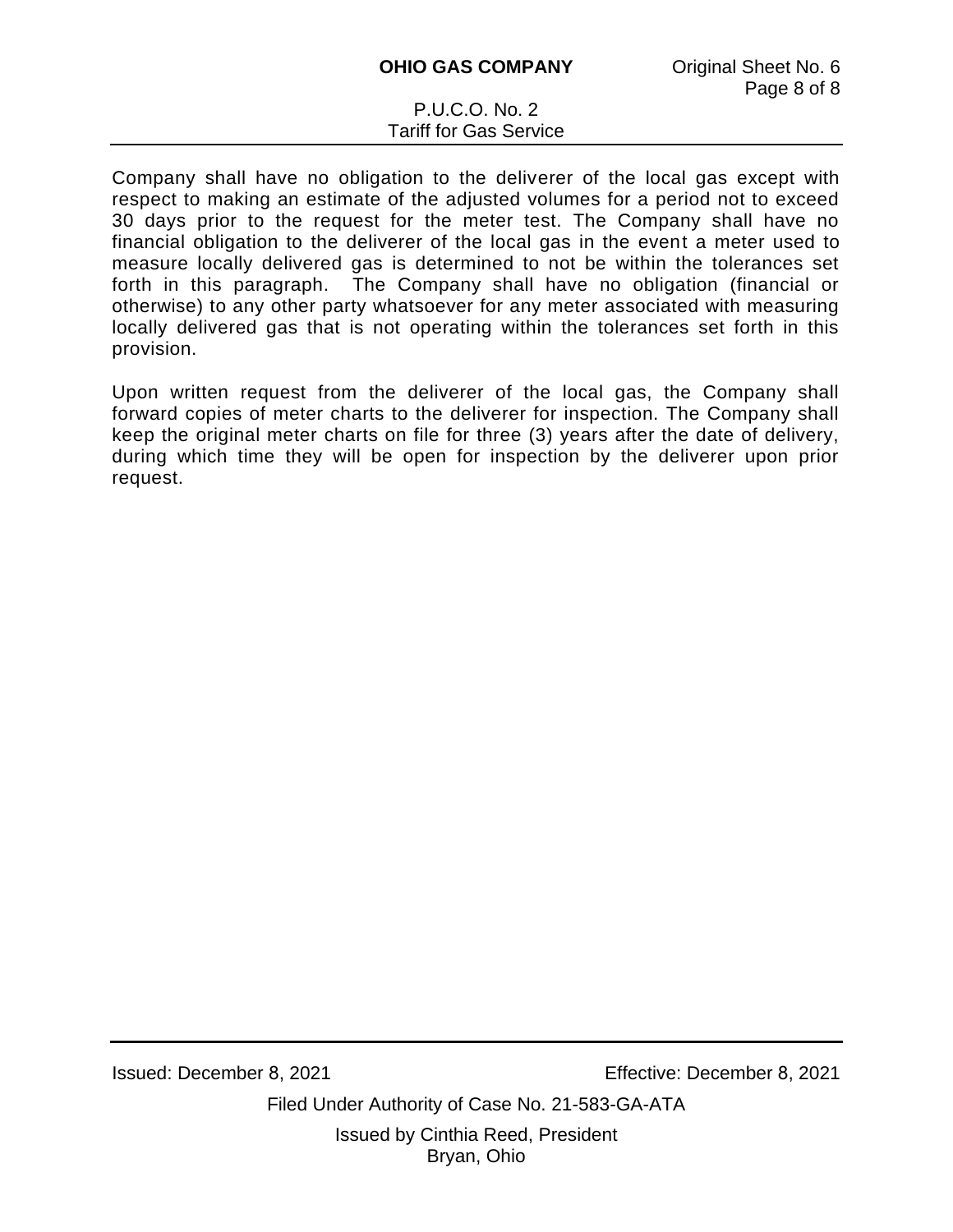Company shall have no obligation to the deliverer of the local gas except with respect to making an estimate of the adjusted volumes for a period not to exceed 30 days prior to the request for the meter test. The Company shall have no financial obligation to the deliverer of the local gas in the event a meter used to measure locally delivered gas is determined to not be within the tolerances set forth in this paragraph. The Company shall have no obligation (financial or otherwise) to any other party whatsoever for any meter associated with measuring locally delivered gas that is not operating within the tolerances set forth in this provision.

Upon written request from the deliverer of the local gas, the Company shall forward copies of meter charts to the deliverer for inspection. The Company shall keep the original meter charts on file for three (3) years after the date of delivery, during which time they will be open for inspection by the deliverer upon prior request.

Issued: December 8, 2021 Effective: December 8, 2021

Filed Under Authority of Case No. 21-583-GA-ATA